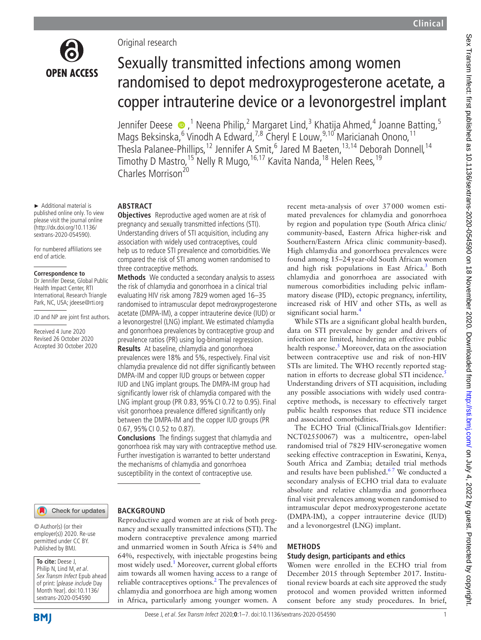

► Additional material is published online only. To view please visit the journal online (http://dx.doi.org/10.1136/ sextrans-2020-054590). For numbered affiliations see

end of article.

**Correspondence to** Dr Jennifer Deese, Global Public Health Impact Center, RTI International, Research Triangle Park, NC, USA; jdeese@rti.org JD and NP are joint first authors.

Received 4 June 2020 Revised 26 October 2020 Accepted 30 October 2020

# Original research

# Sexually transmitted infections among women randomised to depot medroxyprogesterone acetate, a copper intrauterine device or a levonorgestrel implant

Jennifer Deese  $\bullet$  ,<sup>1</sup> Neena Philip,<sup>2</sup> Margaret Lind,<sup>3</sup> Khatija Ahmed,<sup>4</sup> Joanne Batting,<sup>5</sup> Mags Beksinska, <sup>6</sup> Vinodh A Edward, <sup>7,8</sup> Cheryl E Louw, <sup>9,10</sup> Maricianah Onono, <sup>11</sup> Thesla Palanee-Phillips,<sup>12</sup> Jennifer A Smit,<sup>6</sup> Jared M Baeten,<sup>13,14</sup> Deborah Donnell,<sup>14</sup> Timothy D Mastro,<sup>15</sup> Nelly R Mugo,<sup>16,17</sup> Kavita Nanda,<sup>18</sup> Helen Rees,<sup>19</sup> Charles Morrison<sup>20</sup>

# **ABSTRACT**

**Objectives** Reproductive aged women are at risk of pregnancy and sexually transmitted infections (STI). Understanding drivers of STI acquisition, including any association with widely used contraceptives, could help us to reduce STI prevalence and comorbidities. We compared the risk of STI among women randomised to three contraceptive methods.

**Methods** We conducted a secondary analysis to assess the risk of chlamydia and gonorrhoea in a clinical trial evaluating HIV risk among 7829 women aged 16–35 randomised to intramuscular depot medroxyprogesterone acetate (DMPA-IM), a copper intrauterine device (IUD) or a levonorgestrel (LNG) implant. We estimated chlamydia and gonorrhoea prevalences by contraceptive group and prevalence ratios (PR) using log-binomial regression. **Results** At baseline, chlamydia and gonorrhoea prevalences were 18% and 5%, respectively. Final visit chlamydia prevalence did not differ significantly between DMPA-IM and copper IUD groups or between copper IUD and LNG implant groups. The DMPA-IM group had significantly lower risk of chlamydia compared with the LNG implant group (PR 0.83, 95%CI 0.72 to 0.95). Final visit gonorrhoea prevalence differed significantly only between the DMPA-IM and the copper IUD groups (PR 0.67, 95%CI 0.52 to 0.87).

**Conclusions** The findings suggest that chlamydia and gonorrhoea risk may vary with contraceptive method use. Further investigation is warranted to better understand the mechanisms of chlamydia and gonorrhoea susceptibility in the context of contraceptive use.

nancy and sexually transmitted infections (STI). The modern contraceptive prevalence among married and unmarried women in South Africa is 54% and 64%, respectively, with injectable progestins being most widely used.<sup>1</sup> Moreover, current global efforts aim towards all women having access to a range of reliable contraceptives options. $<sup>2</sup>$  $<sup>2</sup>$  $<sup>2</sup>$  The prevalences of</sup> chlamydia and gonorrhoea are high among women in Africa, particularly among younger women. A

Check for updates

#### **BACKGROUND** Reproductive aged women are at risk of both preg-

© Author(s) (or their employer(s)) 2020. Re-use permitted under CC BY. Published by BMJ.

**To cite:** Deese J,

Philip N, Lind M, et al. Sex Transm Infect Epub ahead of print: [please include Day Month Year]. doi:10.1136/ sextrans-2020-054590

# **BMI**

recent meta-analysis of over 37000 women estimated prevalences for chlamydia and gonorrhoea by region and population type (South Africa clinic/ community-based, Eastern Africa higher-risk and Southern/Eastern Africa clinic community-based). High chlamydia and gonorrhoea prevalences were found among 15–24year-old South African women and high risk populations in East Africa.<sup>3</sup> Both chlamydia and gonorrhoea are associated with numerous comorbidities including pelvic inflammatory disease (PID), ectopic pregnancy, infertility, increased risk of HIV and other STIs, as well as significant social harm.<sup>4</sup>

While STIs are a significant global health burden, data on STI prevalence by gender and drivers of infection are limited, hindering an effective public health response.<sup>[5](#page-6-4)</sup> Moreover, data on the association between contraceptive use and risk of non-HIV STIs are limited. The WHO recently reported stag-nation in efforts to decrease global STI incidence.<sup>[5](#page-6-4)</sup> Understanding drivers of STI acquisition, including any possible associations with widely used contraceptive methods, is necessary to effectively target public health responses that reduce STI incidence and associated comorbidities.

The ECHO Trial (ClinicalTrials.gov Identifier: NCT02550067) was a multicentre, open-label randomised trial of 7829 HIV-seronegative women seeking effective contraception in Eswatini, Kenya, South Africa and Zambia; detailed trial methods and results have been published.<sup>67</sup> We conducted a secondary analysis of ECHO trial data to evaluate absolute and relative chlamydia and gonorrhoea final visit prevalences among women randomised to intramuscular depot medroxyprogesterone acetate (DMPA-IM), a copper intrauterine device (IUD) and a levonorgestrel (LNG) implant.

# **METHODS**

# **Study design, participants and ethics**

Women were enrolled in the ECHO trial from December 2015 through September 2017. Institutional review boards at each site approved the study protocol and women provided written informed consent before any study procedures. In brief,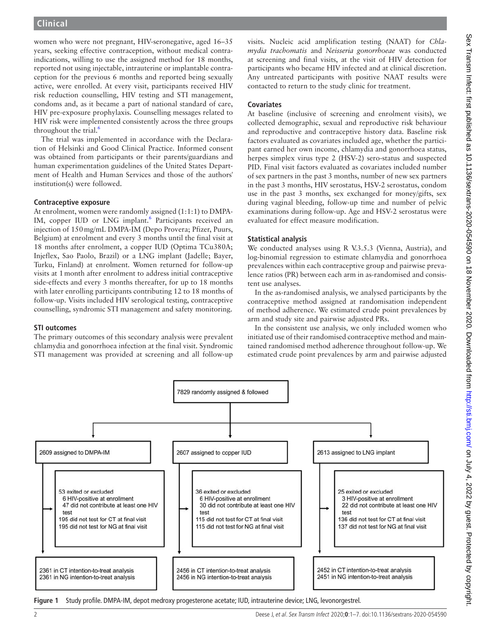women who were not pregnant, HIV-seronegative, aged 16–35 years, seeking effective contraception, without medical contraindications, willing to use the assigned method for 18 months, reported not using injectable, intrauterine or implantable contraception for the previous 6 months and reported being sexually active, were enrolled. At every visit, participants received HIV risk reduction counselling, HIV testing and STI management, condoms and, as it became a part of national standard of care, HIV pre-exposure prophylaxis. Counselling messages related to HIV risk were implemented consistently across the three groups throughout the trial. $<sup>6</sup>$  $<sup>6</sup>$  $<sup>6</sup>$ </sup>

The trial was implemented in accordance with the Declaration of Helsinki and Good Clinical Practice. Informed consent was obtained from participants or their parents/guardians and human experimentation guidelines of the United States Department of Health and Human Services and those of the authors' institution(s) were followed.

# **Contraceptive exposure**

At enrolment, women were randomly assigned (1:1:1) to DMPA-IM, copper IUD or LNG implant.<sup>6</sup> Participants received an injection of 150mg/mL DMPA-IM (Depo Provera; Pfizer, Puurs, Belgium) at enrolment and every 3 months until the final visit at 18 months after enrolment, a copper IUD (Optima TCu380A; Injeflex, Sao Paolo, Brazil) or a LNG implant (Jadelle; Bayer, Turku, Finland) at enrolment. Women returned for follow-up visits at 1month after enrolment to address initial contraceptive side-effects and every 3 months thereafter, for up to 18 months with later enrolling participants contributing 12 to 18 months of follow-up. Visits included HIV serological testing, contraceptive counselling, syndromic STI management and safety monitoring.

# **STI outcomes**

The primary outcomes of this secondary analysis were prevalent chlamydia and gonorrhoea infection at the final visit. Syndromic STI management was provided at screening and all follow-up

visits. Nucleic acid amplification testing (NAAT) for *Chlamydia trachomatis* and *Neisseria gonorrhoeae* was conducted at screening and final visits, at the visit of HIV detection for participants who became HIV infected and at clinical discretion. Any untreated participants with positive NAAT results were contacted to return to the study clinic for treatment.

# **Covariates**

At baseline (inclusive of screening and enrolment visits), we collected demographic, sexual and reproductive risk behaviour and reproductive and contraceptive history data. Baseline risk factors evaluated as covariates included age, whether the participant earned her own income, chlamydia and gonorrhoea status, herpes simplex virus type 2 (HSV-2) sero-status and suspected PID. Final visit factors evaluated as covariates included number of sex partners in the past 3 months, number of new sex partners in the past 3 months, HIV serostatus, HSV-2 serostatus, condom use in the past 3 months, sex exchanged for money/gifts, sex during vaginal bleeding, follow-up time and number of pelvic examinations during follow-up. Age and HSV-2 serostatus were evaluated for effect measure modification.

# **Statistical analysis**

We conducted analyses using R V.3.5.3 (Vienna, Austria), and log-binomial regression to estimate chlamydia and gonorrhoea prevalences within each contraceptive group and pairwise prevalence ratios (PR) between each arm in as-randomised and consistent use analyses.

In the as-randomised analysis, we analysed participants by the contraceptive method assigned at randomisation independent of method adherence. We estimated crude point prevalences by arm and study site and pairwise adjusted PRs.

In the consistent use analysis, we only included women who initiated use of their randomised contraceptive method and maintained randomised method adherence throughout follow-up. We estimated crude point prevalences by arm and pairwise adjusted



<span id="page-1-0"></span>**Figure 1** Study profile. DMPA-IM, depot medroxy progesterone acetate; IUD, intrauterine device; LNG, levonorgestrel.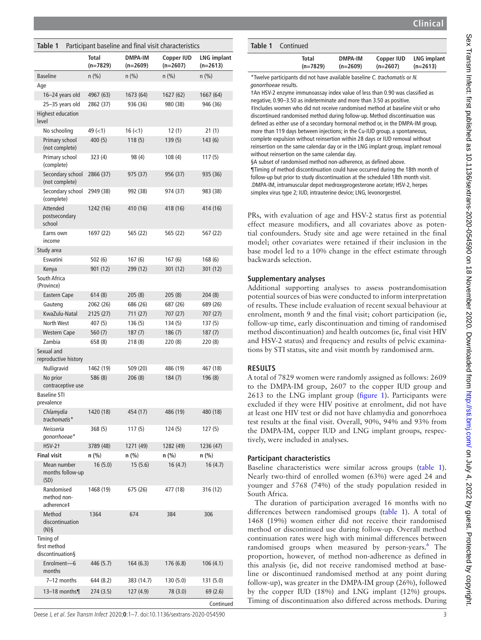| )<br>֡֡֡֡֡֡         |
|---------------------|
| I                   |
| l<br>l              |
| i.                  |
|                     |
|                     |
|                     |
| $\vdots$<br>١       |
|                     |
| -<br>!              |
|                     |
|                     |
| ֚֡֕                 |
| Ì                   |
|                     |
|                     |
| )<br>)<br>)         |
| 1                   |
| ;<br>)<br>)         |
|                     |
|                     |
| $\frac{1}{2}$       |
| i<br>.              |
|                     |
| i<br>I<br>I<br>ׇ֦֘֡ |
| $\frac{1}{2}$       |
| J                   |
|                     |
|                     |
|                     |
| I                   |
| $\frac{1}{2}$       |
|                     |
|                     |
|                     |
|                     |
|                     |
|                     |
|                     |
| י<br>ו              |
| )<br>)<br>)         |
|                     |
|                     |
| ľ                   |
|                     |
|                     |
|                     |
|                     |
|                     |
|                     |

 $\sim$ 

<span id="page-2-0"></span>

| Table 1                                       |                            | Participant baseline and final visit characteristics |                                 |                                |
|-----------------------------------------------|----------------------------|------------------------------------------------------|---------------------------------|--------------------------------|
|                                               | <b>Total</b><br>$(n=7829)$ | <b>DMPA-IM</b><br>$(n=2609)$                         | <b>Copper IUD</b><br>$(n=2607)$ | <b>LNG implant</b><br>(n=2613) |
| <b>Baseline</b>                               | n (%)                      | n (%)                                                | $n$ (%)                         | $n$ (%)                        |
| Age                                           |                            |                                                      |                                 |                                |
| 16-24 years old                               | 4967 (63)                  | 1673 (64)                                            | 1627 (62)                       | 1667 (64)                      |
| 25-35 years old                               | 2862 (37)                  | 936 (36)                                             | 980 (38)                        | 946 (36)                       |
| <b>Highest education</b><br>level             |                            |                                                      |                                 |                                |
| No schooling                                  | $49 (=1)$                  | $16 (=1)$                                            | 12(1)                           | 21(1)                          |
| Primary school<br>(not complete)              | 400(5)                     | 118(5)                                               | 139(5)                          | 143(6)                         |
| Primary school<br>(complete)                  | 323 (4)                    | 98 (4)                                               | 108(4)                          | 117(5)                         |
| Secondary school<br>(not complete)            | 2866 (37)                  | 975 (37)                                             | 956 (37)                        | 935 (36)                       |
| Secondary school<br>(complete)                | 2949 (38)                  | 992 (38)                                             | 974 (37)                        | 983 (38)                       |
| <b>Attended</b><br>postsecondary<br>school    | 1242 (16)                  | 410 (16)                                             | 418 (16)                        | 414 (16)                       |
| Earns own<br>income                           | 1697 (22)                  | 565 (22)                                             | 565 (22)                        | 567 (22)                       |
| Study area                                    |                            |                                                      |                                 |                                |
| Eswatini                                      | 502(6)                     | 167 (6)                                              | 167 (6)                         | 168 (6)                        |
| Kenya                                         | 901 (12)                   | 299 (12)                                             | 301 (12)                        | 301 (12)                       |
| South Africa<br>(Province)                    |                            |                                                      |                                 |                                |
| <b>Eastern Cape</b>                           | 614 (8)                    | 205(8)                                               | 205(8)                          | 204(8)                         |
| Gauteng                                       | 2062 (26)                  | 686 (26)                                             | 687 (26)                        | 689 (26)                       |
| KwaZulu-Natal                                 | 2125 (27)                  | 711 (27)                                             | 707 (27)                        | 707 (27)                       |
| <b>North West</b>                             | 407 (5)                    | 136 (5)                                              | 134 (5)                         | 137 (5)                        |
| <b>Western Cape</b>                           | 560(7)                     | 187(7)                                               | 186(7)                          | 187(7)                         |
| Zambia                                        | 658 (8)                    | 218 (8)                                              | 220 (8)                         | 220 (8)                        |
| Sexual and<br>reproductive history            |                            |                                                      |                                 |                                |
| Nulligravid                                   | 1462 (19)                  | 509 (20)                                             | 486 (19)                        | 467 (18)                       |
| No prior<br>contraceptive use                 | 586 (8)                    | 206(8)                                               | 184(7)                          | 196 (8)                        |
| <b>Baseline STI</b><br>prevalence             |                            |                                                      |                                 |                                |
| Chlamydia<br>trachomatis*                     | 1420 (18)                  | 454 (17)                                             | 486 (19)                        | 480 (18)                       |
| Neisseria<br>qonorrhoeae*                     | 368 (5)                    | 117 (5)                                              | 124 (5)                         | 127 (5)                        |
| $HSV-2+$                                      | 3789 (48)                  | 1271 (49)                                            | 1282 (49)                       | 1236 (47)                      |
| <b>Final visit</b>                            | $n$ (%)                    | n (%)                                                | $n$ (%)                         | $n$ (%)                        |
| Mean number<br>months follow-up<br>(SD)       | 16(5.0)                    | 15(5.6)                                              | 16(4.7)                         | 16(4.7)                        |
| Randomised<br>method non-<br>adherence‡       | 1468 (19)                  | 675 (26)                                             | 477 (18)                        | 316 (12)                       |
| Method<br>discontinuation<br>$(N)$ §          | 1364                       | 674                                                  | 384                             | 306                            |
| Timing of<br>first method<br>discontinuation§ |                            |                                                      |                                 |                                |
| Enrolment-6<br>months                         | 446 (5.7)                  | 164(6.3)                                             | 176 (6.8)                       | 106(4.1)                       |
| 7-12 months                                   | 644 (8.2)                  | 383 (14.7)                                           | 130 (5.0)                       | 131 (5.0)                      |
| 13-18 months¶                                 | 274 (3.5)                  | 127 (4.9)                                            | 78 (3.0)                        | 69 (2.6)                       |
|                                               |                            |                                                      |                                 | Continued                      |

Deese J, et al. Sex Transm Infect 2020;**0**:1–7. doi:10.1136/sextrans-2020-054590 3

| <b>Table 1</b> Continued |                |            |                    |
|--------------------------|----------------|------------|--------------------|
| Total                    | <b>DMPA-IM</b> | Copper IUD | <b>LNG implant</b> |
| $(n=7829)$               | $(n=2609)$     | $(n=2607)$ | $(n=2613)$         |

\*Twelve participants did not have available baseline *C. trachomatis* or *N. gonorrhoeae* results.

†An HSV-2 enzyme immunoassay index value of less than 0.90 was classified as negative, 0.90–3.50 as indeterminate and more than 3.50 as positive. ‡Includes women who did not receive randomised method at baseline visit or who discontinued randomised method during follow-up. Method discontinuation was defined as either use of a secondary hormonal method or, in the DMPA-IM group, more than 119 days between injections; in the Cu-IUD group, a spontaneous, complete expulsion without reinsertion within 28 days or IUD removal without reinsertion on the same calendar day or in the LNG implant group, implant removal without reinsertion on the same calendar day.

§A subset of randomised method non-adherence, as defined above. ¶Timing of method discontinuation could have occurred during the 18th month of follow-up but prior to study discontinuation at the scheduled 18th month visit. .DMPA-IM, intramuscular depot medroxyprogesterone acetate; HSV-2, herpes simplex virus type 2; IUD, intrauterine device; LNG, levonorgestrel.

PRs, with evaluation of age and HSV-2 status first as potential effect measure modifiers, and all covariates above as potential confounders. Study site and age were retained in the final model; other covariates were retained if their inclusion in the base model led to a 10% change in the effect estimate through backwards selection.

# **Supplementary analyses**

Additional supporting analyses to assess postrandomisation potential sources of bias were conducted to inform interpretation of results. These include evaluation of recent sexual behaviour at enrolment, month 9 and the final visit; cohort participation (ie, follow-up time, early discontinuation and timing of randomised method discontinuation) and health outcomes (ie, final visit HIV and HSV-2 status) and frequency and results of pelvic examinations by STI status, site and visit month by randomised arm.

# **RESULTS**

A total of 7829 women were randomly assigned as follows: 2609 to the DMPA-IM group, 2607 to the copper IUD group and 2613 to the LNG implant group [\(figure](#page-1-0) 1). Participants were excluded if they were HIV positive at enrolment, did not have at least one HIV test or did not have chlamydia and gonorrhoea test results at the final visit. Overall, 90%, 94% and 93% from the DMPA-IM, copper IUD and LNG implant groups, respectively, were included in analyses.

# **Participant characteristics**

Baseline characteristics were similar across groups [\(table](#page-2-0) 1). Nearly two-third of enrolled women (63%) were aged 24 and younger and 5768 (74%) of the study population resided in South Africa.

The duration of participation averaged 16 months with no differences between randomised groups ([table](#page-2-0) 1). A total of 1468 (19%) women either did not receive their randomised method or discontinued use during follow-up. Overall method continuation rates were high with minimal differences between randomised groups when measured by person-years.<sup>6</sup> The proportion, however, of method non-adherence as defined in this analysis (ie, did not receive randomised method at baseline or discontinued randomised method at any point during follow-up), was greater in the DMPA-IM group (26%), followed by the copper IUD (18%) and LNG implant (12%) groups. Timing of discontinuation also differed across methods. During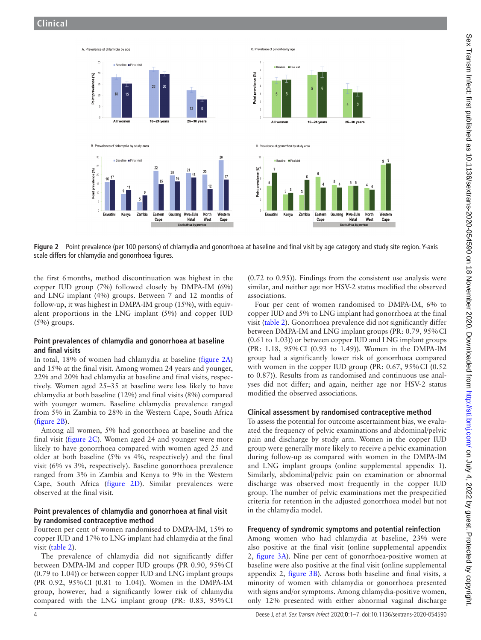

<span id="page-3-0"></span>**Figure 2** Point prevalence (per 100 persons) of chlamydia and gonorrhoea at baseline and final visit by age category and study site region. Y-axis scale differs for chlamydia and gonorrhoea figures.

the first 6months, method discontinuation was highest in the copper IUD group (7%) followed closely by DMPA-IM (6%) and LNG implant (4%) groups. Between 7 and 12 months of follow-up, it was highest in DMPA-IM group (15%), with equivalent proportions in the LNG implant (5%) and copper IUD  $(5\%)$  groups.

## **Point prevalences of chlamydia and gonorrhoea at baseline and final visits**

In total, 18% of women had chlamydia at baseline ([figure](#page-3-0) 2A) and 15% at the final visit. Among women 24 years and younger, 22% and 20% had chlamydia at baseline and final visits, respectively. Women aged 25–35 at baseline were less likely to have chlamydia at both baseline (12%) and final visits (8%) compared with younger women. Baseline chlamydia prevalence ranged from 5% in Zambia to 28% in the Western Cape, South Africa ([figure](#page-3-0) 2B).

Among all women, 5% had gonorrhoea at baseline and the final visit ([figure](#page-3-0) 2C). Women aged 24 and younger were more likely to have gonorrhoea compared with women aged 25 and older at both baseline (5% vs 4%, respectively) and the final visit (6% vs 3%, respectively). Baseline gonorrhoea prevalence ranged from 3% in Zambia and Kenya to 9% in the Western Cape, South Africa [\(figure](#page-3-0) 2D). Similar prevalences were observed at the final visit.

## **Point prevalences of chlamydia and gonorrhoea at final visit by randomised contraceptive method**

Fourteen per cent of women randomised to DMPA-IM, 15% to copper IUD and 17% to LNG implant had chlamydia at the final visit [\(table](#page-4-0) 2).

The prevalence of chlamydia did not significantly differ between DMPA-IM and copper IUD groups (PR 0.90, 95%CI (0.79 to 1.04)) or between copper IUD and LNG implant groups (PR 0.92, 95%CI (0.81 to 1.04)). Women in the DMPA-IM group, however, had a significantly lower risk of chlamydia compared with the LNG implant group (PR: 0.83, 95%CI

(0.72 to 0.95)). Findings from the consistent use analysis were similar, and neither age nor HSV-2 status modified the observed associations.

Four per cent of women randomised to DMPA-IM, 6% to copper IUD and 5% to LNG implant had gonorrhoea at the final visit ([table](#page-4-0) 2). Gonorrhoea prevalence did not significantly differ between DMPA-IM and LNG implant groups (PR: 0.79, 95%CI (0.61 to 1.03)) or between copper IUD and LNG implant groups (PR: 1.18, 95%CI (0.93 to 1.49)). Women in the DMPA-IM group had a significantly lower risk of gonorrhoea compared with women in the copper IUD group (PR: 0.67, 95% CI (0.52) to 0.87)). Results from as randomised and continuous use analyses did not differ; and again, neither age nor HSV-2 status modified the observed associations.

### **Clinical assessment by randomised contraceptive method**

To assess the potential for outcome ascertainment bias, we evaluated the frequency of pelvic examinations and abdominal/pelvic pain and discharge by study arm. Women in the copper IUD group were generally more likely to receive a pelvic examination during follow-up as compared with women in the DMPA-IM and LNG implant groups ([online supplemental appendix 1\)](https://dx.doi.org/10.1136/sextrans-2020-054590). Similarly, abdominal/pelvic pain on examination or abnormal discharge was observed most frequently in the copper IUD group. The number of pelvic examinations met the prespecified criteria for retention in the adjusted gonorrhoea model but not in the chlamydia model.

# **Frequency of syndromic symptoms and potential reinfection**

Among women who had chlamydia at baseline, 23% were also positive at the final visit [\(online supplemental appendix](https://dx.doi.org/10.1136/sextrans-2020-054590) [2,](https://dx.doi.org/10.1136/sextrans-2020-054590) [figure](#page-5-0) 3A). Nine per cent of gonorrhoea-positive women at baseline were also positive at the final visit [\(online supplemental](https://dx.doi.org/10.1136/sextrans-2020-054590) [appendix 2,](https://dx.doi.org/10.1136/sextrans-2020-054590) [figure](#page-5-0) 3B). Across both baseline and final visits, a minority of women with chlamydia or gonorrhoea presented with signs and/or symptoms. Among chlamydia-positive women, only 12% presented with either abnormal vaginal discharge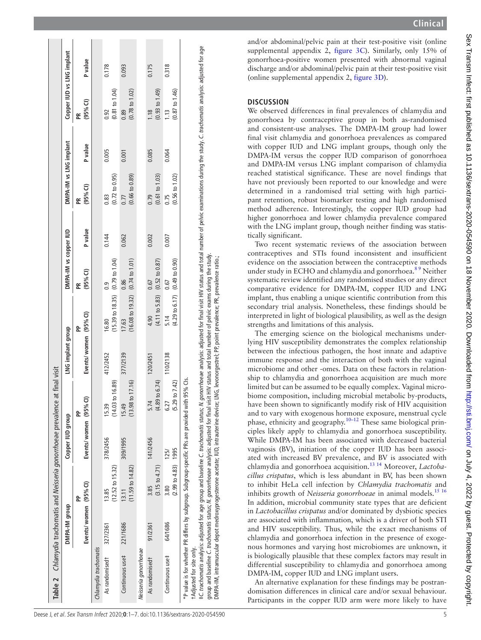|                           | DMPA-IM group        |                                                                                            | Copper IUD group    |                                      | LNG implant group    |                                                                 | DMPA-IM vs copper IUD                         |         | DMPA-IM vs LNG implant                                                                                                                                                                                                         |         | Copper IUD vs LNG implant         |                |
|---------------------------|----------------------|--------------------------------------------------------------------------------------------|---------------------|--------------------------------------|----------------------|-----------------------------------------------------------------|-----------------------------------------------|---------|--------------------------------------------------------------------------------------------------------------------------------------------------------------------------------------------------------------------------------|---------|-----------------------------------|----------------|
|                           | Events/women (95%CI) | å                                                                                          | Events/women (95%CI | 운                                    | Events/women (95%Cl) | å                                                               | $(95%$ CI)<br>Æ                               | P value | $(95%$ CI)<br>Æ                                                                                                                                                                                                                | P value | $(95%$ CI)<br>Æ                   | <b>P</b> value |
| Chlamydia trachomatis     |                      |                                                                                            |                     |                                      |                      |                                                                 |                                               |         |                                                                                                                                                                                                                                |         |                                   |                |
| As randomisedt            | 327/2361             | $(12.52 \text{ to } 15.32)$<br>13.85                                                       | 378/2456            | 0.89<br>$14.03$ to<br>15.39          | 412/2452             | $(15.39 \text{ to } 18.35)$<br>16.80                            | $(0.79 \text{ to } 1.04)$<br>$\overline{0}$ . | 0.144   | $(0.72 \text{ to } 0.95)$<br>0.83                                                                                                                                                                                              | 0.005   | $(0.81 \text{ to } 1.04)$<br>0.92 | 0.178          |
| Continuous use#           | 221/1686             | (11.59 to 14.82)<br>13.11                                                                  | 309/1995            | $(13.98 \text{ to } 17.16)$<br>15.49 | 377/2139             | $(16.08 \text{ to } 19.32)$<br>17.63                            | $(0.74 \text{ to } 1.01)$<br>0.86             | 0.062   | (0.66 t 0.89)<br>0.77                                                                                                                                                                                                          | 0.001   | $(0.78 \text{ to } 1.02)$<br>0.89 | 0.093          |
| Neisseria gonorrhoeae     |                      |                                                                                            |                     |                                      |                      |                                                                 |                                               |         |                                                                                                                                                                                                                                |         |                                   |                |
| As randomisedt            | 91/2361              | $(3.15 \text{ to } 4.71)$<br>3.85                                                          | 141/2456            | to 6.74<br>(4.89)<br>5.74            | 120/2451             | (4.11 to 5.83)<br>4.90                                          | $(0.52 \text{ to } 0.87)$<br>0.67             | 0.002   | (0.61 to 1.03)<br>0.79                                                                                                                                                                                                         | 0.085   | (0.93 to 1.49)<br>1.18            | 0.175          |
| Continuous use#           | 64/1686              | $(2.99 \text{ to } 4.83)$ 1995<br>$\frac{80}{3}$                                           | 125/                | $(5.29 \text{ to } 7.42)$<br>6.27    | 110/2138             | $(4.29 \text{ to } 6.17)$<br>5.14                               | $(0.49 \text{ to } 0.90)$<br>0.67             | 0.007   | $(0.56 \text{ to } 1.02)$<br>0.75                                                                                                                                                                                              | 0.064   | $(0.87 \text{ to } 1.46)$<br>1.13 | 0.318          |
| t Adjusted for site only. |                      | *P value is for whether PR differs by subgroup. Subgroup-specific PRs are provided with    |                     | 95% Cls.                             |                      |                                                                 |                                               |         |                                                                                                                                                                                                                                |         |                                   |                |
|                           |                      | group and baseline C. trachomatis status; N. gonorrhoeae analysis: adjusted for final visi |                     |                                      |                      | t HIV status and total number of pelvic exams during the study. |                                               |         | #C trachomatis analysis: adjusted for age group and baseline C. trachomatis status; N. gonorrhoeee analysis: adjusted for final visit HIV status and total number of pelvic examinations during the study. C. trachomatis anal |         |                                   |                |

and/or abdominal/pelvic pain at their test-positive visit [\(online](https://dx.doi.org/10.1136/sextrans-2020-054590) [supplemental appendix 2](https://dx.doi.org/10.1136/sextrans-2020-054590), [figure](#page-5-0) 3C). Similarly, only 15% of gonorrhoea-positive women presented with abnormal vaginal discharge and/or abdominal/pelvic pain at their test-positive visit ([online supplemental appendix 2](https://dx.doi.org/10.1136/sextrans-2020-054590), [figure](#page-5-0) 3D).

# **DISCUSSION**

We observed differences in final prevalences of chlamydia and gonorrhoea by contraceptive group in both as-randomised and consistent-use analyses. The DMPA-IM group had lower final visit chlamydia and gonorrhoea prevalences as compared with copper IUD and LNG implant groups, though only the DMPA-IM versus the copper IUD comparison of gonorrhoea and DMPA-IM versus LNG implant comparison of chlamydia reached statistical significance. These are novel findings that have not previously been reported to our knowledge and were determined in a randomised trial setting with high partici pant retention, robust biomarker testing and high randomised method adherence. Interestingly, the copper IUD group had higher gonorrhoea and lower chlamydia prevalence compared with the LNG implant group, though neither finding was statis tically significant.

Two recent systematic reviews of the association between contraceptives and STIs found inconsistent and insufficient evidence on the association between the contraceptive methods under study in ECHO and chlamydia and gonorrhoea.<sup>89</sup> Neither systematic review identified any randomised studies or any direct comparative evidence for DMPA-IM, copper IUD and LNG implant, thus enabling a unique scientific contribution from this secondary trial analysis. Nonetheless, these findings should be interpreted in light of biological plausibility, as well as the design strengths and limitations of this analysis.

The emerging science on the biological mechanisms under lying HIV susceptibility demonstrates the complex relationship between the infectious pathogen, the host innate and adaptive immune response and the interaction of both with the vaginal microbiome and other -omes. Data on these factors in relation ship to chlamydia and gonorrhoea acquisition are much more limited but can be assumed to be equally complex. Vaginal micro biome composition, including microbial metabolic by-products, have been shown to significantly modify risk of HIV acquisition and to vary with exogenous hormone exposure, menstrual cycle phase, ethnicity and geography.<sup>10-12</sup> These same biological principles likely apply to chlamydia and gonorrhoea susceptibility. While DMPA-IM has been associated with decreased bacterial vaginosis (BV), initiation of the copper IUD has been associ ated with increased BV prevalence, and BV is associated with chlamydia and gonorrhoea acquisition.[13 14](#page-6-8) Moreover, *Lactobacillus crispatus*, which is less abundant in BV, has been shown to inhibit HeLa cell infection by *Chlamydia trachomatis* and inhibits growth of *Neisseria gonorrhoeae* in animal models.<sup>[15 16](#page-6-9)</sup> In addition, microbial community state types that are deficient in *Lactobacillus crispatus* and/or dominated by dysbiotic species are associated with inflammation, which is a driver of both STI and HIV susceptibility. Thus, while the exact mechanisms of chlamydia and gonorrhoea infection in the presence of exoge nous hormones and varying host microbiomes are unknown, it is biologically plausible that these complex factors may result in differential susceptibility to chlamydia and gonorrhoea among DMPA-IM, copper IUD and LNG implant users.

<span id="page-4-0"></span>An alternative explanation for these findings may be postran domisation differences in clinical care and/or sexual behaviour. Participants in the copper IUD arm were more likely to have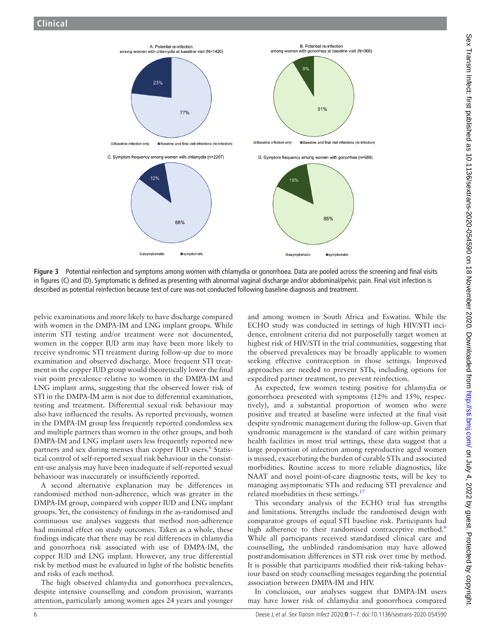

**Figure 3** Potential reinfection and symptoms among women with chlamydia or gonorrhoea. Data are pooled across the screening and final visits in figures (C) and (D). Symptomatic is defined as presenting with abnormal vaginal discharge and/or abdominal/pelvic pain. Final visit infection is described as potential reinfection because test of cure was not conducted following baseline diagnosis and treatment.

pelvic examinations and more likely to have discharge compared with women in the DMPA-IM and LNG implant groups. While interim STI testing and/or treatment were not documented, women in the copper IUD arm may have been more likely to receive syndromic STI treatment during follow-up due to more examination and observed discharge. More frequent STI treatment in the copper IUD group would theoretically lower the final visit point prevalence relative to women in the DMPA-IM and LNG implant arms, suggesting that the observed lower risk of STI in the DMPA-IM arm is not due to differential examination, testing and treatment. Differential sexual risk behaviour may also have influenced the results. As reported previously, women in the DMPA-IM group less frequently reported condomless sex and multiple partners than women in the other groups, and both DMPA-IM and LNG implant users less frequently reported new partners and sex during menses than copper IUD users.<sup>[6](#page-6-5)</sup> Statistical control of self-reported sexual risk behaviour in the consistent-use analysis may have been inadequate if self-reported sexual behaviour was inaccurately or insufficiently reported.

A second alternative explanation may be differences in randomised method non-adherence, which was greater in the DMPA-IM group, compared with copper IUD and LNG implant groups. Yet, the consistency of findings in the as-randomised and continuous use analyses suggests that method non-adherence had minimal effect on study outcomes. Taken as a whole, these findings indicate that there may be real differences in chlamydia and gonorrhoea risk associated with use of DMPA-IM, the copper IUD and LNG implant. However, any true differential risk by method must be evaluated in light of the holistic benefits and risks of each method.

The high observed chlamydia and gonorrhoea prevalences, despite intensive counselling and condom provision, warrants attention, particularly among women ages 24 years and younger

<span id="page-5-0"></span>and among women in South Africa and Eswatini. While the ECHO study was conducted in settings of high HIV/STI incidence, enrolment criteria did not purposefully target women at highest risk of HIV/STI in the trial communities, suggesting that the observed prevalences may be broadly applicable to women seeking effective contraception in those settings. Improved approaches are needed to prevent STIs, including options for expedited partner treatment, to prevent reinfection.

As expected, few women testing positive for chlamydia or gonorrhoea presented with symptoms (12% and 15%, respectively), and a substantial proportion of women who were positive and treated at baseline were infected at the final visit despite syndromic management during the follow-up. Given that syndromic management is the standard of care within primary health facilities in most trial settings, these data suggest that a large proportion of infection among reproductive aged women is missed, exacerbating the burden of curable STIs and associated morbidities. Routine access to more reliable diagnostics, like NAAT and novel point-of-care diagnostic tests, will be key to managing asymptomatic STIs and reducing STI prevalence and related morbidities in these settings.<sup>1</sup>

This secondary analysis of the ECHO trial has strengths and limitations. Strengths include the randomised design with comparator groups of equal STI baseline risk. Participants had high adherence to their randomised contraceptive method.<sup>[6](#page-6-5)</sup> While all participants received standardised clinical care and counselling, the unblinded randomisation may have allowed postrandomisation differences in STI risk over time by method. It is possible that participants modified their risk-taking behaviour based on study counselling messages regarding the potential association between DMPA-IM and HIV.

In conclusion, our analyses suggest that DMPA-IM users may have lower risk of chlamydia and gonorrhoea compared